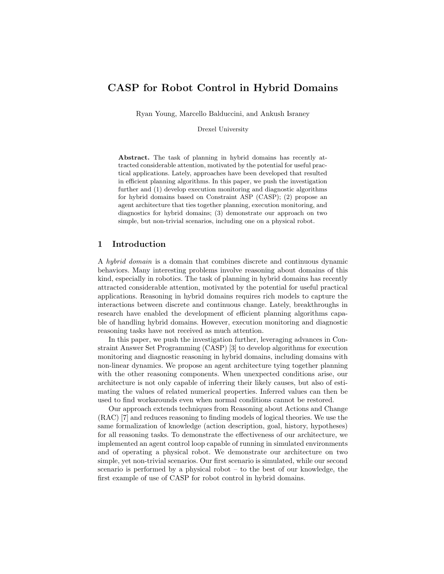# CASP for Robot Control in Hybrid Domains

Ryan Young, Marcello Balduccini, and Ankush Israney

Drexel University

Abstract. The task of planning in hybrid domains has recently attracted considerable attention, motivated by the potential for useful practical applications. Lately, approaches have been developed that resulted in efficient planning algorithms. In this paper, we push the investigation further and (1) develop execution monitoring and diagnostic algorithms for hybrid domains based on Constraint ASP (CASP); (2) propose an agent architecture that ties together planning, execution monitoring, and diagnostics for hybrid domains; (3) demonstrate our approach on two simple, but non-trivial scenarios, including one on a physical robot.

## 1 Introduction

A hybrid domain is a domain that combines discrete and continuous dynamic behaviors. Many interesting problems involve reasoning about domains of this kind, especially in robotics. The task of planning in hybrid domains has recently attracted considerable attention, motivated by the potential for useful practical applications. Reasoning in hybrid domains requires rich models to capture the interactions between discrete and continuous change. Lately, breakthroughs in research have enabled the development of efficient planning algorithms capable of handling hybrid domains. However, execution monitoring and diagnostic reasoning tasks have not received as much attention.

In this paper, we push the investigation further, leveraging advances in Constraint Answer Set Programming (CASP) [3] to develop algorithms for execution monitoring and diagnostic reasoning in hybrid domains, including domains with non-linear dynamics. We propose an agent architecture tying together planning with the other reasoning components. When unexpected conditions arise, our architecture is not only capable of inferring their likely causes, but also of estimating the values of related numerical properties. Inferred values can then be used to find workarounds even when normal conditions cannot be restored.

Our approach extends techniques from Reasoning about Actions and Change (RAC) [7] and reduces reasoning to finding models of logical theories. We use the same formalization of knowledge (action description, goal, history, hypotheses) for all reasoning tasks. To demonstrate the effectiveness of our architecture, we implemented an agent control loop capable of running in simulated environments and of operating a physical robot. We demonstrate our architecture on two simple, yet non-trivial scenarios. Our first scenario is simulated, while our second scenario is performed by a physical robot – to the best of our knowledge, the first example of use of CASP for robot control in hybrid domains.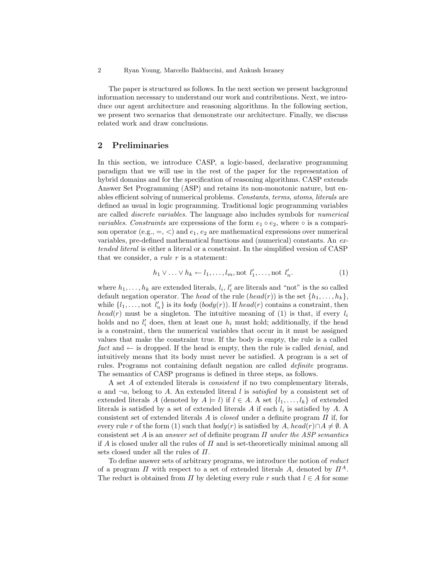The paper is structured as follows. In the next section we present background information necessary to understand our work and contributions. Next, we introduce our agent architecture and reasoning algorithms. In the following section, we present two scenarios that demonstrate our architecture. Finally, we discuss related work and draw conclusions.

# 2 Preliminaries

In this section, we introduce CASP, a logic-based, declarative programming paradigm that we will use in the rest of the paper for the representation of hybrid domains and for the specification of reasoning algorithms. CASP extends Answer Set Programming (ASP) and retains its non-monotonic nature, but enables efficient solving of numerical problems. Constants, terms, atoms, literals are defined as usual in logic programming. Traditional logic programming variables are called discrete variables. The language also includes symbols for numerical variables. Constraints are expressions of the form  $e_1 \circ e_2$ , where  $\circ$  is a comparison operator (e.g.,  $=$ ,  $\lt$ ) and  $e_1$ ,  $e_2$  are mathematical expressions over numerical variables, pre-defined mathematical functions and (numerical) constants. An extended literal is either a literal or a constraint. In the simplified version of CASP that we consider, a *rule r* is a statement:

$$
h_1 \vee \ldots \vee h_k \leftarrow l_1, \ldots, l_m, \text{not } l'_1, \ldots, \text{not } l'_n.
$$
 (1)

where  $h_1, \ldots, h_k$  are extended literals,  $l_i, l'_i$  are literals and "not" is the so called default negation operator. The head of the rule  $(head(r))$  is the set  $\{h_1, \ldots, h_k\}$ , while  $\{l_1, \ldots, \text{not } l'_n\}$  is its *body*  $(body(r))$ . If  $head(r)$  contains a constraint, then head(r) must be a singleton. The intuitive meaning of (1) is that, if every  $l_i$ holds and no  $l_i'$  does, then at least one  $h_i$  must hold; additionally, if the head is a constraint, then the numerical variables that occur in it must be assigned values that make the constraint true. If the body is empty, the rule is a called fact and  $\leftarrow$  is dropped. If the head is empty, then the rule is called *denial*, and intuitively means that its body must never be satisfied. A program is a set of rules. Programs not containing default negation are called definite programs. The semantics of CASP programs is defined in three steps, as follows.

A set A of extended literals is consistent if no two complementary literals, a and  $\neg a$ , belong to A. An extended literal l is *satisfied* by a consistent set of extended literals A (denoted by  $A \models l$ ) if  $l \in A$ . A set  $\{l_1, \ldots, l_k\}$  of extended literals is satisfied by a set of extended literals A if each  $l_i$  is satisfied by A. A consistent set of extended literals A is *closed* under a definite program  $\Pi$  if, for every rule r of the form (1) such that  $body(r)$  is satisfied by A, head(r)∩A  $\neq \emptyset$ . consistent set  $A$  is an answer set of definite program  $\Pi$  under the ASP semantics if A is closed under all the rules of  $\Pi$  and is set-theoretically minimal among all sets closed under all the rules of  $\Pi$ .

To define answer sets of arbitrary programs, we introduce the notion of reduct of a program  $\Pi$  with respect to a set of extended literals A, denoted by  $\Pi^A$ . The reduct is obtained from  $\Pi$  by deleting every rule r such that  $l \in A$  for some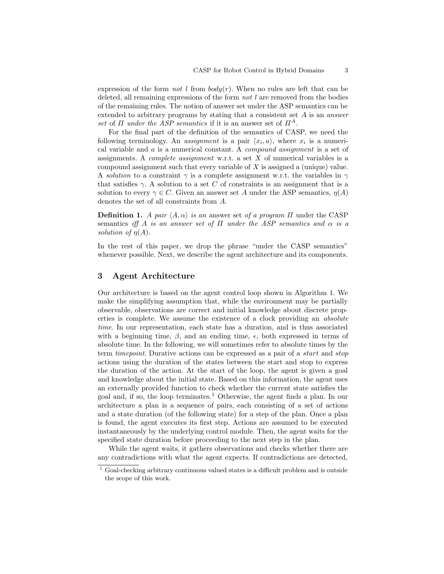expression of the form *not* l from  $body(r)$ . When no rules are left that can be deleted, all remaining expressions of the form *not*  $l$  are removed from the bodies of the remaining rules. The notion of answer set under the ASP semantics can be extended to arbitrary programs by stating that a consistent set A is an answer set of  $\Pi$  under the ASP semantics if it is an answer set of  $\Pi^A$ .

For the final part of the definition of the semantics of CASP, we need the following terminology. An *assignment* is a pair  $\langle x_i, a \rangle$ , where  $x_i$  is a numerical variable and a is a numerical constant. A compound assignment is a set of assignments. A *complete assignment* w.r.t. a set  $X$  of numerical variables is a compound assignment such that every variable of X is assigned a (unique) value. A *solution* to a constraint  $\gamma$  is a complete assignment w.r.t. the variables in  $\gamma$ that satisfies  $\gamma$ . A solution to a set C of constraints is an assignment that is a solution to every  $\gamma \in C$ . Given an answer set A under the ASP semantics,  $\eta(A)$ denotes the set of all constraints from A.

**Definition 1.** A pair  $\langle A, \alpha \rangle$  is an answer set of a program  $\Pi$  under the CASP semantics iff A is an answer set of  $\Pi$  under the ASP semantics and  $\alpha$  is a solution of  $\eta(A)$ .

In the rest of this paper, we drop the phrase "under the CASP semantics" whenever possible. Next, we describe the agent architecture and its components.

### 3 Agent Architecture

Our architecture is based on the agent control loop shown in Algorithm 1. We make the simplifying assumption that, while the environment may be partially observable, observations are correct and initial knowledge about discrete properties is complete. We assume the existence of a clock providing an absolute time. In our representation, each state has a duration, and is thus associated with a beginning time,  $\beta$ , and an ending time,  $\epsilon$ , both expressed in terms of absolute time. In the following, we will sometimes refer to absolute times by the term timepoint. Durative actions can be expressed as a pair of a start and stop actions using the duration of the states between the start and stop to express the duration of the action. At the start of the loop, the agent is given a goal and knowledge about the initial state. Based on this information, the agent uses an externally provided function to check whether the current state satisfies the goal and, if so, the loop terminates.<sup>1</sup> Otherwise, the agent finds a plan. In our architecture a plan is a sequence of pairs, each consisting of a set of actions and a state duration (of the following state) for a step of the plan. Once a plan is found, the agent executes its first step. Actions are assumed to be executed instantaneously by the underlying control module. Then, the agent waits for the specified state duration before proceeding to the next step in the plan.

While the agent waits, it gathers observations and checks whether there are any contradictions with what the agent expects. If contradictions are detected,

<sup>1</sup> Goal-checking arbitrary continuous valued states is a difficult problem and is outside the scope of this work.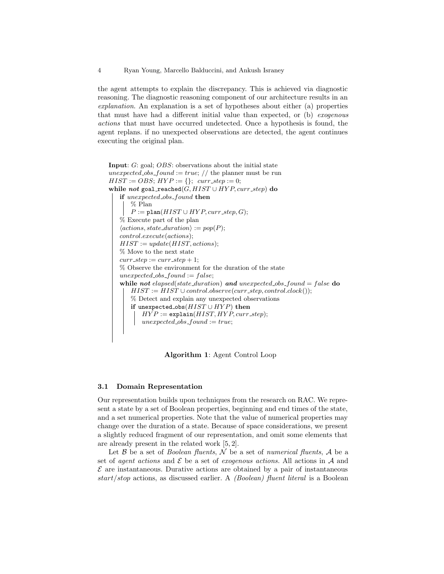the agent attempts to explain the discrepancy. This is achieved via diagnostic reasoning. The diagnostic reasoning component of our architecture results in an explanation. An explanation is a set of hypotheses about either (a) properties that must have had a different initial value than expected, or (b) exogenous actions that must have occurred undetected. Once a hypothesis is found, the agent replans. if no unexpected observations are detected, the agent continues executing the original plan.

```
Input: G: goal; OBS: observations about the initial state
unexpected obs found := true; // the planner must be run
HIST := OBS; HYP := \{\}; \text{ curr-step} := 0;while not goal reached(G, HIST \cup HYP, curr_step) do
   if unexpected obs found then
       % Plan
       P := \text{plan}(HIST \cup HYP, curr\_step, G);% Execute part of the plan
    \langle actions, state\_duration \rangle := pop(P);control.execute(actions);
   HIST := update(HIST, actions);% Move to the next state
   curr\_step := curr\_step + 1;% Observe the environment for the duration of the state
   unexpected\_obs\_found := false;while not elapsed(state_duration) and unexpected_obs_found = false do
       HIST := HIST \cup control. observe (curr\_step, control. clock());% Detect and explain any unexpected observations
       if unexpected_obs(HIST \cup HYP) then
           HYP := \texttt{explain}(HIST, HYP, curr\_step);unexpected\_obs\_found := true;
```
Algorithm 1: Agent Control Loop

### 3.1 Domain Representation

Our representation builds upon techniques from the research on RAC. We represent a state by a set of Boolean properties, beginning and end times of the state, and a set numerical properties. Note that the value of numerical properties may change over the duration of a state. Because of space considerations, we present a slightly reduced fragment of our representation, and omit some elements that are already present in the related work [5, 2].

Let  $\beta$  be a set of *Boolean fluents*,  $\mathcal N$  be a set of *numerical fluents*,  $\mathcal A$  be a set of *agent actions* and  $\mathcal{E}$  be a set of *exogenous actions*. All actions in  $\mathcal{A}$  and  $\mathcal E$  are instantaneous. Durative actions are obtained by a pair of instantaneous  $start/stop$  actions, as discussed earlier. A *(Boolean) fluent literal* is a Boolean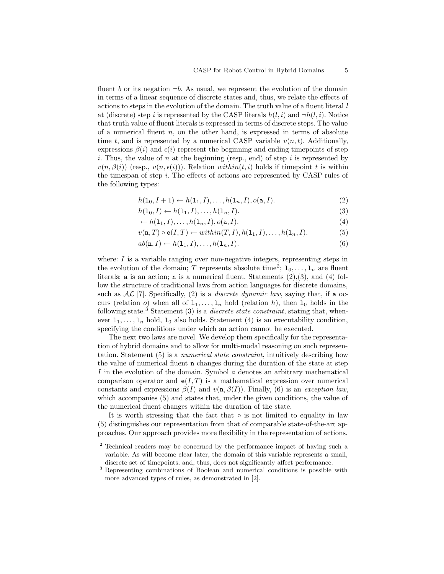fluent b or its negation  $\neg b$ . As usual, we represent the evolution of the domain in terms of a linear sequence of discrete states and, thus, we relate the effects of actions to steps in the evolution of the domain. The truth value of a fluent literal  $l$ at (discrete) step i is represented by the CASP literals  $h(l, i)$  and  $\neg h(l, i)$ . Notice that truth value of fluent literals is expressed in terms of discrete steps. The value of a numerical fluent  $n$ , on the other hand, is expressed in terms of absolute time t, and is represented by a numerical CASP variable  $v(n, t)$ . Additionally, expressions  $\beta(i)$  and  $\epsilon(i)$  represent the beginning and ending timepoints of step i. Thus, the value of n at the beginning (resp., end) of step i is represented by  $v(n, \beta(i))$  (resp.,  $v(n, \epsilon(i))$ ). Relation within $(t, i)$  holds if timepoint t is within the timespan of step  $i$ . The effects of actions are represented by CASP rules of the following types:

$$
h(1_0, I+1) \leftarrow h(1_1, I), \dots, h(1_n, I), o(a, I). \tag{2}
$$

$$
h(1_0, I) \leftarrow h(1_1, I), \dots, h(1_n, I). \tag{3}
$$

$$
\leftarrow h(1_1, I), \dots, h(1_n, I), o(\mathbf{a}, I). \tag{4}
$$

$$
v(\mathbf{n},T) \circ \mathbf{e}(I,T) \leftarrow within(T, I), h(1_1, I), \dots, h(1_n, I). \tag{5}
$$

$$
ab(\mathbf{n},I) \leftarrow h(\mathbf{1}_1,I),\ldots,h(\mathbf{1}_n,I). \tag{6}
$$

where:  $I$  is a variable ranging over non-negative integers, representing steps in the evolution of the domain; T represents absolute time<sup>2</sup>;  $1_0, \ldots, 1_n$  are fluent literals; a is an action; n is a numerical fluent. Statements (2),(3), and (4) follow the structure of traditional laws from action languages for discrete domains, such as  $AL$  [7]. Specifically, (2) is a *discrete dynamic law*, saying that, if a occurs (relation *o*) when all of  $1_1, \ldots, 1_n$  hold (relation *h*), then  $1_0$  holds in the following state.<sup>3</sup> Statement (3) is a *discrete state constraint*, stating that, whenever  $1_1, \ldots, 1_n$  hold,  $1_0$  also holds. Statement (4) is an executability condition, specifying the conditions under which an action cannot be executed.

The next two laws are novel. We develop them specifically for the representation of hybrid domains and to allow for multi-modal reasoning on such representation. Statement (5) is a numerical state constraint, intuitively describing how the value of numerical fluent n changes during the duration of the state at step I in the evolution of the domain. Symbol  $\circ$  denotes an arbitrary mathematical comparison operator and  $e(I, T)$  is a mathematical expression over numerical constants and expressions  $\beta(I)$  and  $v(\mathbf{n}, \beta(I))$ . Finally, (6) is an exception law, which accompanies (5) and states that, under the given conditions, the value of the numerical fluent changes within the duration of the state.

It is worth stressing that the fact that  $\circ$  is not limited to equality in law (5) distinguishes our representation from that of comparable state-of-the-art approaches. Our approach provides more flexibility in the representation of actions.

<sup>&</sup>lt;sup>2</sup> Technical readers may be concerned by the performance impact of having such a variable. As will become clear later, the domain of this variable represents a small, discrete set of timepoints, and, thus, does not significantly affect performance.

<sup>3</sup> Representing combinations of Boolean and numerical conditions is possible with more advanced types of rules, as demonstrated in [2].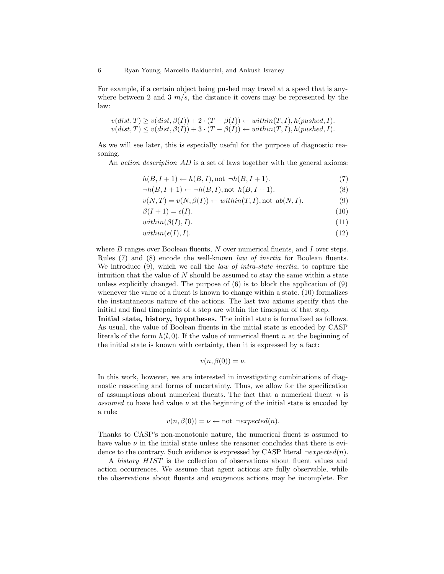For example, if a certain object being pushed may travel at a speed that is anywhere between 2 and 3  $m/s$ , the distance it covers may be represented by the law:

$$
v(dist, T) \ge v(dist, \beta(I)) + 2 \cdot (T - \beta(I)) \leftarrow within(T, I), h(pushed, I).
$$
  

$$
v(dist, T) \le v(dist, \beta(I)) + 3 \cdot (T - \beta(I)) \leftarrow within(T, I), h(pushed, I).
$$

As we will see later, this is especially useful for the purpose of diagnostic reasoning.

An *action description AD* is a set of laws together with the general axioms:

$$
h(B, I+1) \leftarrow h(B, I), \text{not } \neg h(B, I+1). \tag{7}
$$

$$
\neg h(B, I+1) \leftarrow \neg h(B, I), \text{not } h(B, I+1). \tag{8}
$$

$$
v(N,T) = v(N,\beta(I)) \leftarrow \text{within}(T,I), \text{not } ab(N,I). \tag{9}
$$

$$
\beta(I+1) = \epsilon(I). \tag{10}
$$

$$
within(\beta(I), I). \tag{11}
$$

$$
within(\epsilon(I), I). \tag{12}
$$

where  $B$  ranges over Boolean fluents,  $N$  over numerical fluents, and  $I$  over steps. Rules (7) and (8) encode the well-known law of inertia for Boolean fluents. We introduce (9), which we call the *law of intra-state inertia*, to capture the intuition that the value of  $N$  should be assumed to stay the same within a state unless explicitly changed. The purpose of  $(6)$  is to block the application of  $(9)$ whenever the value of a fluent is known to change within a state. (10) formalizes the instantaneous nature of the actions. The last two axioms specify that the initial and final timepoints of a step are within the timespan of that step.

Initial state, history, hypotheses. The initial state is formalized as follows. As usual, the value of Boolean fluents in the initial state is encoded by CASP literals of the form  $h(l, 0)$ . If the value of numerical fluent n at the beginning of the initial state is known with certainty, then it is expressed by a fact:

$$
v(n, \beta(0)) = \nu.
$$

In this work, however, we are interested in investigating combinations of diagnostic reasoning and forms of uncertainty. Thus, we allow for the specification of assumptions about numerical fluents. The fact that a numerical fluent  $n$  is assumed to have had value  $\nu$  at the beginning of the initial state is encoded by a rule:

$$
v(n, \beta(0)) = \nu \leftarrow \text{not } \neg expected(n).
$$

Thanks to CASP's non-monotonic nature, the numerical fluent is assumed to have value  $\nu$  in the initial state unless the reasoner concludes that there is evidence to the contrary. Such evidence is expressed by CASP literal  $\neg expected(n)$ .

A history HIST is the collection of observations about fluent values and action occurrences. We assume that agent actions are fully observable, while the observations about fluents and exogenous actions may be incomplete. For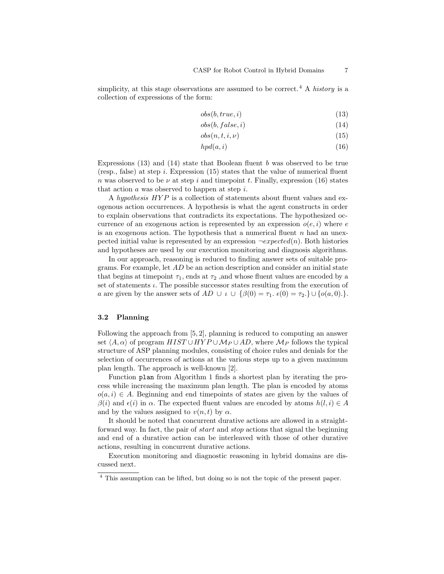simplicity, at this stage observations are assumed to be correct.<sup>4</sup> A history is a collection of expressions of the form:

$$
obs(b, true, i) \tag{13}
$$

$$
obs(b, false, i) \tag{14}
$$

$$
obs(n, t, i, \nu) \tag{15}
$$

$$
hpd(a,i) \tag{16}
$$

Expressions  $(13)$  and  $(14)$  state that Boolean fluent b was observed to be true (resp., false) at step i. Expression  $(15)$  states that the value of numerical fluent n was observed to be  $\nu$  at step i and timepoint t. Finally, expression (16) states that action  $a$  was observed to happen at step  $i$ .

A hypothesis  $HYP$  is a collection of statements about fluent values and exogenous action occurrences. A hypothesis is what the agent constructs in order to explain observations that contradicts its expectations. The hypothesized occurrence of an exogenous action is represented by an expression  $o(e, i)$  where e is an exogenous action. The hypothesis that a numerical fluent  $n$  had an unexpected initial value is represented by an expression  $\neg expected(n)$ . Both histories and hypotheses are used by our execution monitoring and diagnosis algorithms.

In our approach, reasoning is reduced to finding answer sets of suitable programs. For example, let  $AD$  be an action description and consider an initial state that begins at timepoint  $\tau_1$ , ends at  $\tau_2$ , and whose fluent values are encoded by a set of statements  $\iota$ . The possible successor states resulting from the execution of a are given by the answer sets of  $AD \cup \iota \cup \{\beta(0) = \tau_1, \epsilon(0) = \tau_2\} \cup \{o(a, 0)\}$ .

#### 3.2 Planning

Following the approach from [5, 2], planning is reduced to computing an answer set  $\langle A, \alpha \rangle$  of program  $HIST \cup HYP \cup \mathcal{M}_P \cup AD$ , where  $\mathcal{M}_P$  follows the typical structure of ASP planning modules, consisting of choice rules and denials for the selection of occurrences of actions at the various steps up to a given maximum plan length. The approach is well-known [2].

Function plan from Algorithm 1 finds a shortest plan by iterating the process while increasing the maximum plan length. The plan is encoded by atoms  $o(a, i) \in A$ . Beginning and end timepoints of states are given by the values of  $\beta(i)$  and  $\epsilon(i)$  in  $\alpha$ . The expected fluent values are encoded by atoms  $h(l, i) \in A$ and by the values assigned to  $v(n, t)$  by  $\alpha$ .

It should be noted that concurrent durative actions are allowed in a straightforward way. In fact, the pair of start and stop actions that signal the beginning and end of a durative action can be interleaved with those of other durative actions, resulting in concurrent durative actions.

Execution monitoring and diagnostic reasoning in hybrid domains are discussed next.

<sup>4</sup> This assumption can be lifted, but doing so is not the topic of the present paper.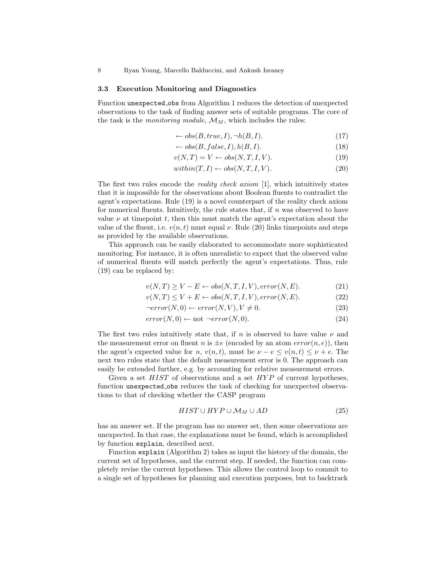#### 3.3 Execution Monitoring and Diagnostics

Function unexpected obs from Algorithm 1 reduces the detection of unexpected observations to the task of finding answer sets of suitable programs. The core of the task is the *monitoring module*,  $\mathcal{M}_M$ , which includes the rules:

$$
\leftarrow obs(B, true, I), \neg h(B, I). \tag{17}
$$

$$
\leftarrow obs(B, false, I), h(B, I). \tag{18}
$$

$$
v(N,T) = V \leftarrow obs(N,T,I,V). \tag{19}
$$

$$
within(T, I) \leftarrow obs(N, T, I, V). \tag{20}
$$

The first two rules encode the *reality check axiom* [1], which intuitively states that it is impossible for the observations about Boolean fluents to contradict the agent's expectations. Rule (19) is a novel counterpart of the reality check axiom for numerical fluents. Intuitively, the rule states that, if  $n$  was observed to have value  $\nu$  at timepoint t, then this must match the agent's expectation about the value of the fluent, i.e.  $v(n, t)$  must equal  $\nu$ . Rule (20) links timepoints and steps as provided by the available observations.

This approach can be easily elaborated to accommodate more sophisticated monitoring. For instance, it is often unrealistic to expect that the observed value of numerical fluents will match perfectly the agent's expectations. Thus, rule (19) can be replaced by:

$$
v(N,T) \ge V - E \leftarrow obs(N,T,I,V), error(N,E). \tag{21}
$$

$$
v(N,T) \le V + E \leftarrow obs(N,T,I,V), error(N,E). \tag{22}
$$

$$
\neg error(N,0) \leftarrow error(N,V), V \neq 0. \tag{23}
$$

$$
error(N,0) \leftarrow not \; \neg error(N,0). \tag{24}
$$

The first two rules intuitively state that, if n is observed to have value  $\nu$  and the measurement error on fluent n is  $\pm e$  (encoded by an atom  $error(n, e)$ ), then the agent's expected value for n,  $v(n, t)$ , must be  $\nu - e \le v(n, t) \le \nu + e$ . The next two rules state that the default measurement error is 0. The approach can easily be extended further, e.g. by accounting for relative measurement errors.

Given a set  $HIST$  of observations and a set  $HYP$  of current hypotheses, function unexpected obs reduces the task of checking for unexpected observations to that of checking whether the CASP program

$$
HIST \cup HYP \cup \mathcal{M}_M \cup AD \tag{25}
$$

has an answer set. If the program has no answer set, then some observations are unexpected. In that case, the explanations must be found, which is accomplished by function explain, described next.

Function explain (Algorithm 2) takes as input the history of the domain, the current set of hypotheses, and the current step. If needed, the function can completely revise the current hypotheses. This allows the control loop to commit to a single set of hypotheses for planning and execution purposes, but to backtrack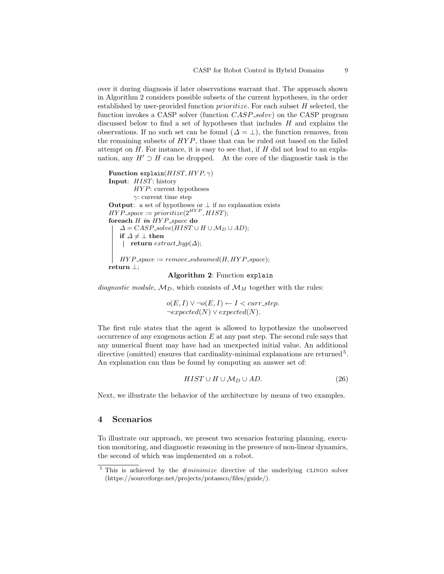over it during diagnosis if later observations warrant that. The approach shown in Algorithm 2 considers possible subsets of the current hypotheses, in the order established by user-provided function  $primitive$ . For each subset  $H$  selected, the function invokes a CASP solver (function *CASP\_solve*) on the CASP program discussed below to find a set of hypotheses that includes  $H$  and explains the observations. If no such set can be found  $(\Delta = \bot)$ , the function removes, from the remaining subsets of  $HYP$ , those that can be ruled out based on the failed attempt on  $H$ . For instance, it is easy to see that, if  $H$  did not lead to an explanation, any  $H' \supset H$  can be dropped. At the core of the diagnostic task is the

```
Function explain(HIST, HYP, \gamma)
Input: HIST: history
        HYP: current hypotheses
        γ: current time step
Output: a set of hypotheses or \perp if no explanation exists
HYP-space := prioritize(2^{HYP}, HIST);
foreach H in HYP-space do
   \Delta = CASP\_solve(HIST \cup H \cup M_D \cup AD);if \Delta \neq \bot then
    \vert return extract_hyp(\Delta);
   HYP-space := remove-subsumed(H, HYP-space);
return ⊥;
```
### Algorithm 2: Function explain

diagnostic module,  $M_D$ , which consists of  $M_M$  together with the rules:

 $o(E, I) ∨ ¬o(E, I) ← I < curr-step.$  $\neg expected(N) \lor expected(N).$ 

The first rule states that the agent is allowed to hypothesize the unobserved occurrence of any exogenous action  $E$  at any past step. The second rule says that any numerical fluent may have had an unexpected initial value. An additional directive (omitted) ensures that cardinality-minimal explanations are returned<sup>5</sup>. An explanation can thus be found by computing an answer set of:

$$
HIST \cup H \cup M_D \cup AD. \tag{26}
$$

Next, we illustrate the behavior of the architecture by means of two examples.

# 4 Scenarios

To illustrate our approach, we present two scenarios featuring planning, execution monitoring, and diagnostic reasoning in the presence of non-linear dynamics, the second of which was implemented on a robot.

 $5$  This is achieved by the  $\#minimize$  directive of the underlying CLINGO solver (https://sourceforge.net/projects/potassco/files/guide/).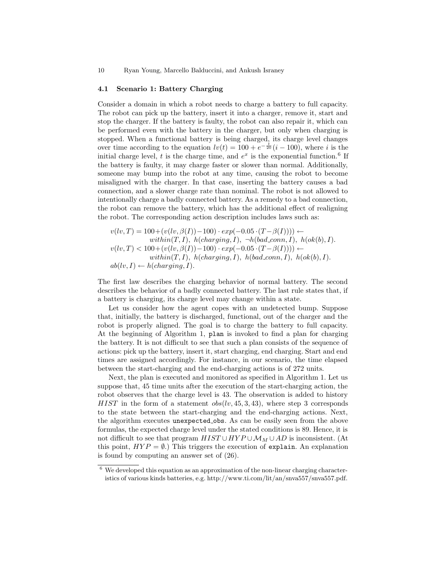### 4.1 Scenario 1: Battery Charging

Consider a domain in which a robot needs to charge a battery to full capacity. The robot can pick up the battery, insert it into a charger, remove it, start and stop the charger. If the battery is faulty, the robot can also repair it, which can be performed even with the battery in the charger, but only when charging is stopped. When a functional battery is being charged, its charge level changes over time according to the equation  $lv(t) = 100 + e^{-\frac{t}{20}}(i - 100)$ , where i is the initial charge level, t is the charge time, and  $e^x$  is the exponential function.<sup>6</sup> If the battery is faulty, it may charge faster or slower than normal. Additionally, someone may bump into the robot at any time, causing the robot to become misaligned with the charger. In that case, inserting the battery causes a bad connection, and a slower charge rate than nominal. The robot is not allowed to intentionally charge a badly connected battery. As a remedy to a bad connection, the robot can remove the battery, which has the additional effect of realigning the robot. The corresponding action description includes laws such as:

$$
\begin{array}{ll} v(lv,T)=100+(v(lv,\beta(I))-100)\cdot exp(-0.05\cdot (T-\beta(I)))) \leftarrow\\ & within(T,I),\,\,h(charging,I),\,\, \neg h(bad\_conn,I),\,\,h(ok(b),I).\\ v(lv,T)<100+(v(lv,\beta(I))-100)\cdot exp(-0.05\cdot (T-\beta(I)))) \leftarrow\\ & within(T,I),\,\,h(charging,I),\,\,h(bad\_conn,I),\,\,h(ok(b),I).\\ ab(lv,I) \leftarrow h(charging,I).\end{array}
$$

The first law describes the charging behavior of normal battery. The second describes the behavior of a badly connected battery. The last rule states that, if a battery is charging, its charge level may change within a state.

Let us consider how the agent copes with an undetected bump. Suppose that, initially, the battery is discharged, functional, out of the charger and the robot is properly aligned. The goal is to charge the battery to full capacity. At the beginning of Algorithm 1, plan is invoked to find a plan for charging the battery. It is not difficult to see that such a plan consists of the sequence of actions: pick up the battery, insert it, start charging, end charging. Start and end times are assigned accordingly. For instance, in our scenario, the time elapsed between the start-charging and the end-charging actions is of 272 units.

Next, the plan is executed and monitored as specified in Algorithm 1. Let us suppose that, 45 time units after the execution of the start-charging action, the robot observes that the charge level is 43. The observation is added to history HIST in the form of a statement  $obs(lv, 45, 3, 43)$ , where step 3 corresponds to the state between the start-charging and the end-charging actions. Next, the algorithm executes unexpected obs. As can be easily seen from the above formulas, the expected charge level under the stated conditions is 89. Hence, it is not difficult to see that program  $HIST \cup HYP \cup \mathcal{M}_M \cup AD$  is inconsistent. (At this point,  $HYP = \emptyset$ .) This triggers the execution of explain. An explanation is found by computing an answer set of (26).

 $6\,$  We developed this equation as an approximation of the non-linear charging characteristics of various kinds batteries, e.g. http://www.ti.com/lit/an/snva557/snva557.pdf.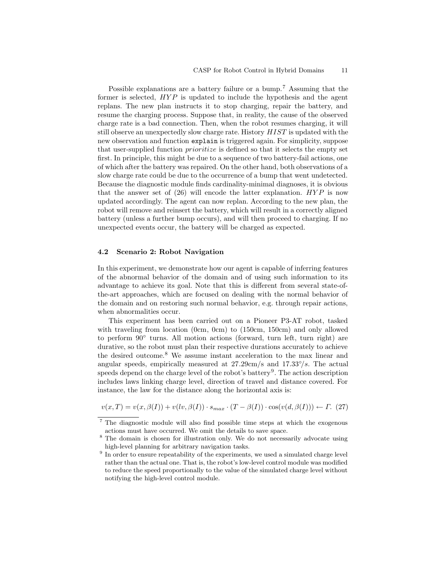Possible explanations are a battery failure or a bump.<sup>7</sup> Assuming that the former is selected,  $HYP$  is updated to include the hypothesis and the agent replans. The new plan instructs it to stop charging, repair the battery, and resume the charging process. Suppose that, in reality, the cause of the observed charge rate is a bad connection. Then, when the robot resumes charging, it will still observe an unexpectedly slow charge rate. History HIST is updated with the new observation and function explain is triggered again. For simplicity, suppose that user-supplied function prioritize is defined so that it selects the empty set first. In principle, this might be due to a sequence of two battery-fail actions, one of which after the battery was repaired. On the other hand, both observations of a slow charge rate could be due to the occurrence of a bump that went undetected. Because the diagnostic module finds cardinality-minimal diagnoses, it is obvious that the answer set of  $(26)$  will encode the latter explanation.  $HYP$  is now updated accordingly. The agent can now replan. According to the new plan, the robot will remove and reinsert the battery, which will result in a correctly aligned battery (unless a further bump occurs), and will then proceed to charging. If no unexpected events occur, the battery will be charged as expected.

### 4.2 Scenario 2: Robot Navigation

In this experiment, we demonstrate how our agent is capable of inferring features of the abnormal behavior of the domain and of using such information to its advantage to achieve its goal. Note that this is different from several state-ofthe-art approaches, which are focused on dealing with the normal behavior of the domain and on restoring such normal behavior, e.g. through repair actions, when abnormalities occur.

This experiment has been carried out on a Pioneer P3-AT robot, tasked with traveling from location (0cm, 0cm) to (150cm, 150cm) and only allowed to perform 90◦ turns. All motion actions (forward, turn left, turn right) are durative, so the robot must plan their respective durations accurately to achieve the desired outcome.<sup>8</sup> We assume instant acceleration to the max linear and angular speeds, empirically measured at  $27.29 \text{cm/s}$  and  $17.33\degree/s$ . The actual speeds depend on the charge level of the robot's battery<sup>9</sup>. The action description includes laws linking charge level, direction of travel and distance covered. For instance, the law for the distance along the horizontal axis is:

 $v(x,T) = v(x, \beta(I)) + v(lv, \beta(I)) \cdot s_{max} \cdot (T - \beta(I)) \cdot \cos(v(d, \beta(I))) \leftarrow \Gamma$ . (27)

<sup>7</sup> The diagnostic module will also find possible time steps at which the exogenous actions must have occurred. We omit the details to save space.

<sup>8</sup> The domain is chosen for illustration only. We do not necessarily advocate using high-level planning for arbitrary navigation tasks.

<sup>&</sup>lt;sup>9</sup> In order to ensure repeatability of the experiments, we used a simulated charge level rather than the actual one. That is, the robot's low-level control module was modified to reduce the speed proportionally to the value of the simulated charge level without notifying the high-level control module.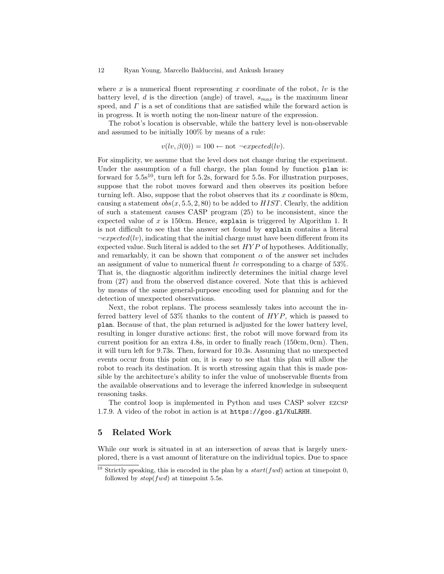where x is a numerical fluent representing x coordinate of the robot,  $\ell v$  is the battery level, d is the direction (angle) of travel,  $s_{max}$  is the maximum linear speed, and  $\Gamma$  is a set of conditions that are satisfied while the forward action is in progress. It is worth noting the non-linear nature of the expression.

The robot's location is observable, while the battery level is non-observable and assumed to be initially 100% by means of a rule:

$$
v(lv,\beta(0)) = 100 \leftarrow not \neg expected(lv).
$$

For simplicity, we assume that the level does not change during the experiment. Under the assumption of a full charge, the plan found by function plan is: forward for  $5.5s^{10}$ , turn left for  $5.2s$ , forward for  $5.5s$ . For illustration purposes, suppose that the robot moves forward and then observes its position before turning left. Also, suppose that the robot observes that its  $x$  coordinate is 80cm, causing a statement  $obs(x, 5.5, 2, 80)$  to be added to  $HIST$ . Clearly, the addition of such a statement causes CASP program (25) to be inconsistent, since the expected value of  $x$  is 150cm. Hence, explain is triggered by Algorithm 1. It is not difficult to see that the answer set found by explain contains a literal  $\neg expected (lv)$ , indicating that the initial charge must have been different from its expected value. Such literal is added to the set  $HYP$  of hypotheses. Additionally, and remarkably, it can be shown that component  $\alpha$  of the answer set includes an assignment of value to numerical fluent lv corresponding to a charge of  $53\%$ . That is, the diagnostic algorithm indirectly determines the initial charge level from (27) and from the observed distance covered. Note that this is achieved by means of the same general-purpose encoding used for planning and for the detection of unexpected observations.

Next, the robot replans. The process seamlessly takes into account the inferred battery level of  $53\%$  thanks to the content of  $HYP$ , which is passed to plan. Because of that, the plan returned is adjusted for the lower battery level, resulting in longer durative actions: first, the robot will move forward from its current position for an extra 4.8s, in order to finally reach (150cm, 0cm). Then, it will turn left for 9.73s. Then, forward for 10.3s. Assuming that no unexpected events occur from this point on, it is easy to see that this plan will allow the robot to reach its destination. It is worth stressing again that this is made possible by the architecture's ability to infer the value of unobservable fluents from the available observations and to leverage the inferred knowledge in subsequent reasoning tasks.

The control loop is implemented in Python and uses CASP solver ezcsp 1.7.9. A video of the robot in action is at https://goo.gl/KuLRHH.

# 5 Related Work

While our work is situated in at an intersection of areas that is largely unexplored, there is a vast amount of literature on the individual topics. Due to space

<sup>&</sup>lt;sup>10</sup> Strictly speaking, this is encoded in the plan by a  $start(fwd)$  action at timepoint 0, followed by  $stop(fwd)$  at timepoint 5.5s.